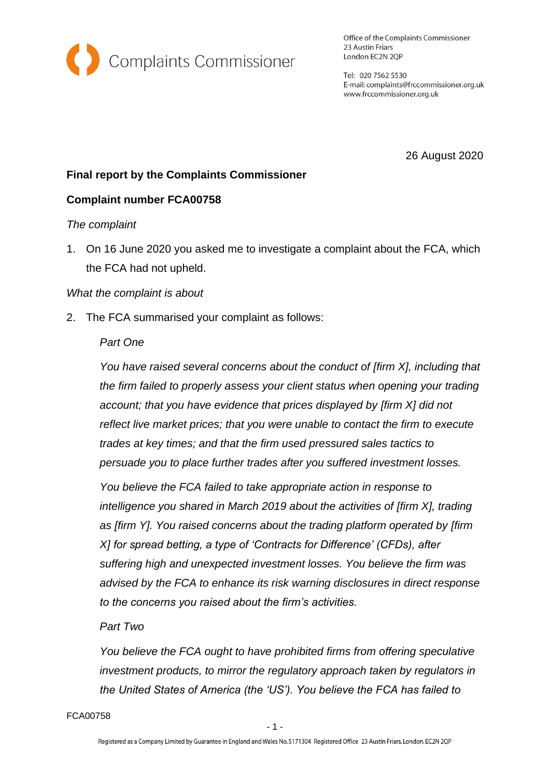

Office of the Complaints Commissioner 23 Austin Friars London EC2N 2QP

Tel: 020 7562 5530 E-mail: complaints@frccommissioner.org.uk www.frccommissioner.org.uk

26 August 2020

# **Final report by the Complaints Commissioner**

# **Complaint number FCA00758**

#### *The complaint*

1. On 16 June 2020 you asked me to investigate a complaint about the FCA, which the FCA had not upheld.

#### *What the complaint is about*

2. The FCA summarised your complaint as follows:

## *Part One*

*You have raised several concerns about the conduct of [firm X], including that the firm failed to properly assess your client status when opening your trading account; that you have evidence that prices displayed by [firm X] did not reflect live market prices; that you were unable to contact the firm to execute trades at key times; and that the firm used pressured sales tactics to persuade you to place further trades after you suffered investment losses.* 

*You believe the FCA failed to take appropriate action in response to intelligence you shared in March 2019 about the activities of [firm X], trading as [firm Y]. You raised concerns about the trading platform operated by [firm X] for spread betting, a type of 'Contracts for Difference' (CFDs), after suffering high and unexpected investment losses. You believe the firm was advised by the FCA to enhance its risk warning disclosures in direct response to the concerns you raised about the firm's activities.* 

# *Part Two*

*You believe the FCA ought to have prohibited firms from offering speculative investment products, to mirror the regulatory approach taken by regulators in the United States of America (the 'US'). You believe the FCA has failed to* 

FCA00758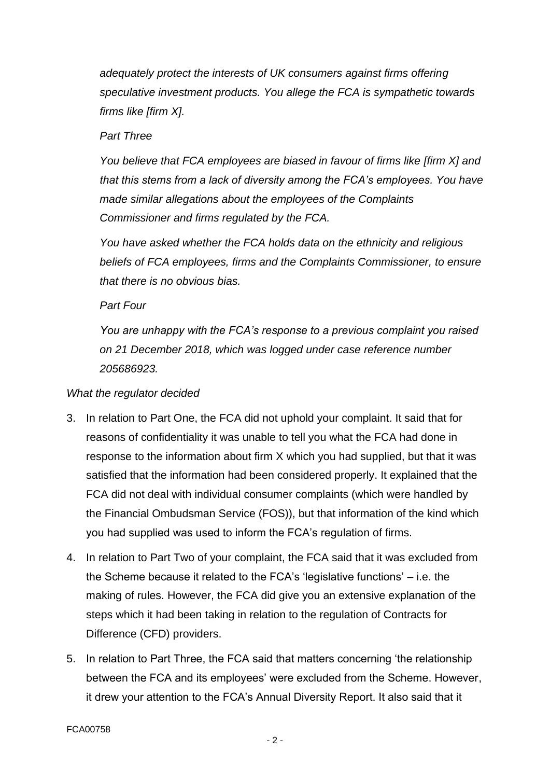*adequately protect the interests of UK consumers against firms offering speculative investment products. You allege the FCA is sympathetic towards firms like [firm X].* 

### *Part Three*

*You believe that FCA employees are biased in favour of firms like [firm X] and that this stems from a lack of diversity among the FCA's employees. You have made similar allegations about the employees of the Complaints Commissioner and firms regulated by the FCA.* 

*You have asked whether the FCA holds data on the ethnicity and religious beliefs of FCA employees, firms and the Complaints Commissioner, to ensure that there is no obvious bias.* 

*Part Four* 

*You are unhappy with the FCA's response to a previous complaint you raised on 21 December 2018, which was logged under case reference number 205686923.*

### *What the regulator decided*

- 3. In relation to Part One, the FCA did not uphold your complaint. It said that for reasons of confidentiality it was unable to tell you what the FCA had done in response to the information about firm X which you had supplied, but that it was satisfied that the information had been considered properly. It explained that the FCA did not deal with individual consumer complaints (which were handled by the Financial Ombudsman Service (FOS)), but that information of the kind which you had supplied was used to inform the FCA's regulation of firms.
- 4. In relation to Part Two of your complaint, the FCA said that it was excluded from the Scheme because it related to the FCA's 'legislative functions' – i.e. the making of rules. However, the FCA did give you an extensive explanation of the steps which it had been taking in relation to the regulation of Contracts for Difference (CFD) providers.
- 5. In relation to Part Three, the FCA said that matters concerning 'the relationship between the FCA and its employees' were excluded from the Scheme. However, it drew your attention to the FCA's Annual Diversity Report. It also said that it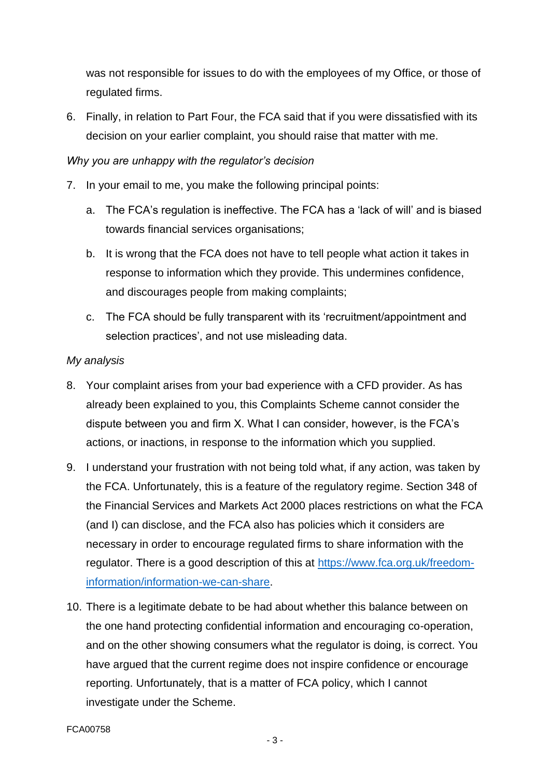was not responsible for issues to do with the employees of my Office, or those of regulated firms.

6. Finally, in relation to Part Four, the FCA said that if you were dissatisfied with its decision on your earlier complaint, you should raise that matter with me.

## *Why you are unhappy with the regulator's decision*

- 7. In your email to me, you make the following principal points:
	- a. The FCA's regulation is ineffective. The FCA has a 'lack of will' and is biased towards financial services organisations;
	- b. It is wrong that the FCA does not have to tell people what action it takes in response to information which they provide. This undermines confidence, and discourages people from making complaints;
	- c. The FCA should be fully transparent with its 'recruitment/appointment and selection practices', and not use misleading data.

### *My analysis*

- 8. Your complaint arises from your bad experience with a CFD provider. As has already been explained to you, this Complaints Scheme cannot consider the dispute between you and firm X. What I can consider, however, is the FCA's actions, or inactions, in response to the information which you supplied.
- 9. I understand your frustration with not being told what, if any action, was taken by the FCA. Unfortunately, this is a feature of the regulatory regime. Section 348 of the Financial Services and Markets Act 2000 places restrictions on what the FCA (and I) can disclose, and the FCA also has policies which it considers are necessary in order to encourage regulated firms to share information with the regulator. There is a good description of this at [https://www.fca.org.uk/freedom](https://www.fca.org.uk/freedom-information/information-we-can-share)[information/information-we-can-share.](https://www.fca.org.uk/freedom-information/information-we-can-share)
- 10. There is a legitimate debate to be had about whether this balance between on the one hand protecting confidential information and encouraging co-operation, and on the other showing consumers what the regulator is doing, is correct. You have argued that the current regime does not inspire confidence or encourage reporting. Unfortunately, that is a matter of FCA policy, which I cannot investigate under the Scheme.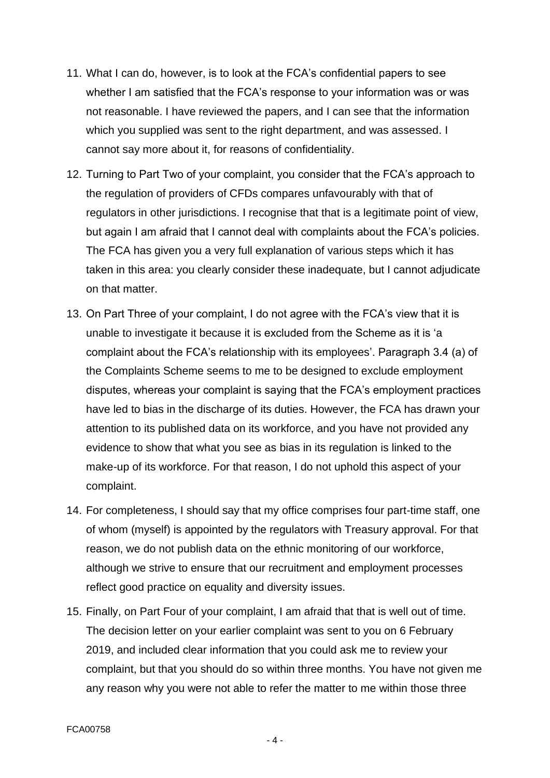- 11. What I can do, however, is to look at the FCA's confidential papers to see whether I am satisfied that the FCA's response to your information was or was not reasonable. I have reviewed the papers, and I can see that the information which you supplied was sent to the right department, and was assessed. I cannot say more about it, for reasons of confidentiality.
- 12. Turning to Part Two of your complaint, you consider that the FCA's approach to the regulation of providers of CFDs compares unfavourably with that of regulators in other jurisdictions. I recognise that that is a legitimate point of view, but again I am afraid that I cannot deal with complaints about the FCA's policies. The FCA has given you a very full explanation of various steps which it has taken in this area: you clearly consider these inadequate, but I cannot adjudicate on that matter.
- 13. On Part Three of your complaint, I do not agree with the FCA's view that it is unable to investigate it because it is excluded from the Scheme as it is 'a complaint about the FCA's relationship with its employees'. Paragraph 3.4 (a) of the Complaints Scheme seems to me to be designed to exclude employment disputes, whereas your complaint is saying that the FCA's employment practices have led to bias in the discharge of its duties. However, the FCA has drawn your attention to its published data on its workforce, and you have not provided any evidence to show that what you see as bias in its regulation is linked to the make-up of its workforce. For that reason, I do not uphold this aspect of your complaint.
- 14. For completeness, I should say that my office comprises four part-time staff, one of whom (myself) is appointed by the regulators with Treasury approval. For that reason, we do not publish data on the ethnic monitoring of our workforce, although we strive to ensure that our recruitment and employment processes reflect good practice on equality and diversity issues.
- 15. Finally, on Part Four of your complaint, I am afraid that that is well out of time. The decision letter on your earlier complaint was sent to you on 6 February 2019, and included clear information that you could ask me to review your complaint, but that you should do so within three months. You have not given me any reason why you were not able to refer the matter to me within those three